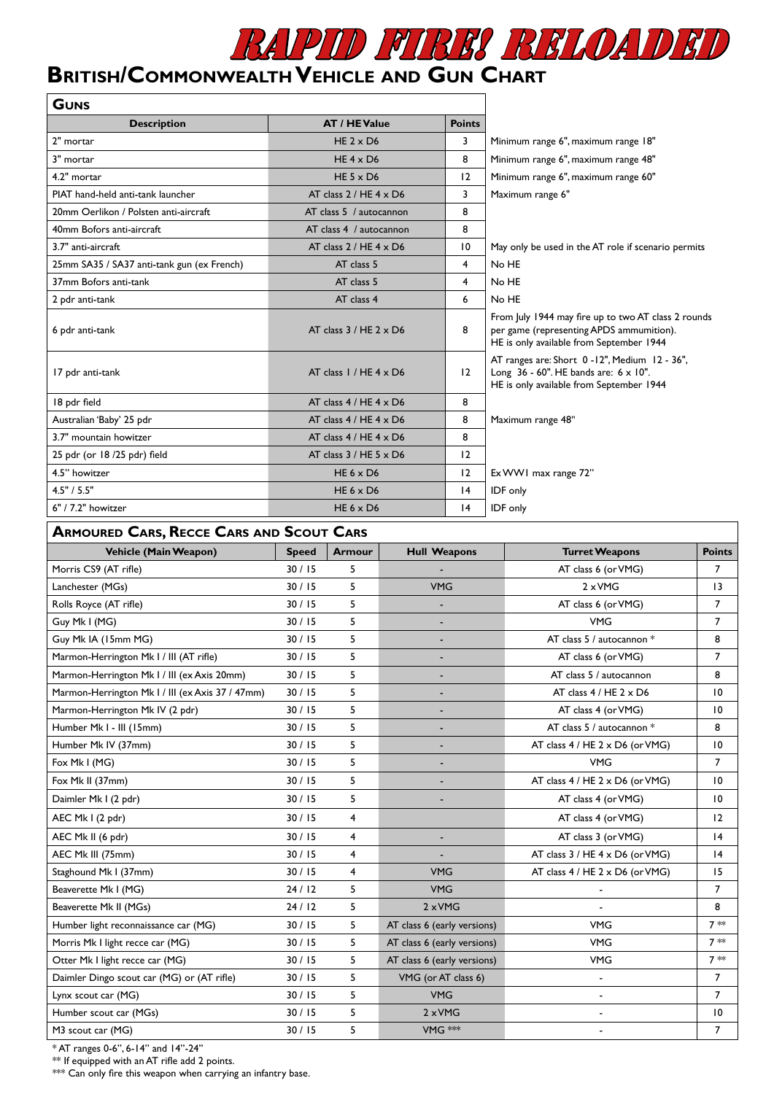

## **British/Commonwealth Vehicle and Gun Chart**

| <b>GUNS</b>                                |                                |                         |                                                                                                                                             |
|--------------------------------------------|--------------------------------|-------------------------|---------------------------------------------------------------------------------------------------------------------------------------------|
| <b>Description</b>                         | <b>AT / HE Value</b>           | <b>Points</b>           |                                                                                                                                             |
| 2" mortar                                  | HE $2 \times D6$               | 3                       | Minimum range 6", maximum range 18"                                                                                                         |
| 3" mortar                                  | HE $4 \times D6$               | 8                       | Minimum range 6", maximum range 48"                                                                                                         |
| 4.2" mortar                                | HE $5 \times D6$               | 12                      | Minimum range 6", maximum range 60"                                                                                                         |
| PIAT hand-held anti-tank launcher          | AT class $2 / HE 4 \times D6$  | 3                       | Maximum range 6"                                                                                                                            |
| 20mm Oerlikon / Polsten anti-aircraft      | AT class 5 / autocannon        | 8                       |                                                                                                                                             |
| 40mm Bofors anti-aircraft                  | AT class 4 / autocannon        | 8                       |                                                                                                                                             |
| 3.7" anti-aircraft                         | AT class $2/$ HE $4 \times$ D6 | $\overline{10}$         | May only be used in the AT role if scenario permits                                                                                         |
| 25mm SA35 / SA37 anti-tank gun (ex French) | AT class 5                     | $\overline{\mathbf{4}}$ | No HE                                                                                                                                       |
| 37mm Bofors anti-tank                      | AT class 5                     | 4                       | No HE                                                                                                                                       |
| 2 pdr anti-tank                            | AT class 4                     | 6                       | No HE                                                                                                                                       |
| 6 pdr anti-tank                            | AT class $3/HE$ 2 $\times$ D6  | 8                       | From July 1944 may fire up to two AT class 2 rounds<br>per game (representing APDS ammumition).<br>HE is only available from September 1944 |
| 17 pdr anti-tank                           | AT class $1/$ HE $4 \times$ D6 | 12                      | AT ranges are: Short 0-12", Medium 12 - 36",<br>Long 36 - 60". HE bands are: 6 x 10".<br>HE is only available from September 1944           |
| 18 pdr field                               | AT class $4/HE$ $4 \times D6$  | 8                       |                                                                                                                                             |
| Australian 'Baby' 25 pdr                   | AT class $4/HE$ $4 \times D6$  | 8                       | Maximum range 48"                                                                                                                           |
| 3.7" mountain howitzer                     | AT class $4/HE$ $4 \times D6$  | 8                       |                                                                                                                                             |
| 25 pdr (or 18/25 pdr) field                | AT class $3/$ HE $5 \times$ D6 | 12                      |                                                                                                                                             |
| 4.5" howitzer                              | HE $6 \times D6$               | 12                      | Ex WW1 max range 72"                                                                                                                        |
| 4.5" / 5.5"                                | HE $6 \times D6$               | 4                       | IDF only                                                                                                                                    |
| 6" / 7.2" howitzer                         | HE $6 \times D6$               | 4                       | IDF only                                                                                                                                    |

## **Armoured Cars, Recce Cars and Scout Cars**

| <b>ANTUURED CARS, INECCE CARS AND SCOUT CARS</b> |              |                |                             |                                        |                 |
|--------------------------------------------------|--------------|----------------|-----------------------------|----------------------------------------|-----------------|
| Vehicle (Main Weapon)                            | <b>Speed</b> | <b>Armour</b>  | <b>Hull Weapons</b>         | <b>Turret Weapons</b>                  | <b>Points</b>   |
| Morris CS9 (AT rifle)                            | 30/15        | 5              |                             | AT class 6 (or VMG)                    | $\overline{7}$  |
| Lanchester (MGs)                                 | 30/15        | 5              | <b>VMG</b>                  | $2 \times VMG$                         | 13              |
| Rolls Royce (AT rifle)                           | 30/15        | 5              |                             | AT class 6 (or VMG)                    | $\overline{7}$  |
| Guy Mk I (MG)                                    | 30/15        | 5              |                             | <b>VMG</b>                             | $\overline{7}$  |
| Guy Mk IA (15mm MG)                              | 30/15        | 5              |                             | AT class 5 / autocannon *              | 8               |
| Marmon-Herrington Mk I / III (AT rifle)          | 30/15        | 5              | ٠                           | AT class 6 (or VMG)                    | $\overline{7}$  |
| Marmon-Herrington Mk I / III (ex Axis 20mm)      | 30/15        | 5              |                             | AT class 5 / autocannon                | 8               |
| Marmon-Herrington Mk I / III (ex Axis 37 / 47mm) | 30/15        | 5              |                             | AT class $4/$ HE $2 \times$ D6         | 10              |
| Marmon-Herrington Mk IV (2 pdr)                  | 30/15        | 5              |                             | AT class 4 (or VMG)                    | 10              |
| Humber Mk I - III (15mm)                         | 30/15        | 5              |                             | AT class 5 / autocannon *              | 8               |
| Humber Mk IV (37mm)                              | 30/15        | 5              |                             | AT class 4 / HE 2 x D6 (or VMG)        | 10              |
| Fox Mk I (MG)                                    | 30/15        | 5              |                             | <b>VMG</b>                             | $\overline{7}$  |
| Fox Mk II (37mm)                                 | 30/15        | 5              |                             | AT class 4 / HE 2 x D6 (or VMG)        | $\overline{10}$ |
| Daimler Mk I (2 pdr)                             | 30/15        | 5              |                             | AT class 4 (or VMG)                    | $\overline{10}$ |
| AEC Mk I (2 pdr)                                 | 30/15        | $\overline{4}$ |                             | AT class 4 (or VMG)                    | 12              |
| AEC Mk II (6 pdr)                                | 30/15        | 4              |                             | AT class 3 (or VMG)                    | 4               |
| AEC Mk III (75mm)                                | 30/15        | $\overline{4}$ |                             | AT class 3 / HE 4 x D6 (or VMG)        | 4               |
| Staghound Mk I (37mm)                            | 30/15        | 4              | <b>VMG</b>                  | AT class $4 / HE 2 \times D6$ (or VMG) | 15              |
| Beaverette Mk I (MG)                             | 24/12        | 5              | <b>VMG</b>                  |                                        | $\overline{7}$  |
| Beaverette Mk II (MGs)                           | 24/12        | 5              | $2 \times VMG$              |                                        | 8               |
| Humber light reconnaissance car (MG)             | 30/15        | 5              | AT class 6 (early versions) | <b>VMG</b>                             | $7 *$           |
| Morris Mk I light recce car (MG)                 | 30/15        | 5              | AT class 6 (early versions) | <b>VMG</b>                             | $7 *$           |
| Otter Mk I light recce car (MG)                  | 30/15        | 5              | AT class 6 (early versions) | <b>VMG</b>                             | $7 *$           |
| Daimler Dingo scout car (MG) or (AT rifle)       | 30/15        | 5              | VMG (or AT class 6)         | $\blacksquare$                         | $\overline{7}$  |
| Lynx scout car (MG)                              | 30/15        | 5              | <b>VMG</b>                  | $\overline{\phantom{a}}$               | $\overline{7}$  |
| Humber scout car (MGs)                           | 30/15        | 5              | $2 \times VMG$              |                                        | 10              |
| M3 scout car (MG)                                | 30/15        | 5              | VMG ***                     |                                        | 7               |

\* AT ranges 0-6", 6-14" and 14''-24''

\*\* If equipped with an AT rifle add 2 points.

\*\*\* Can only fire this weapon when carrying an infantry base.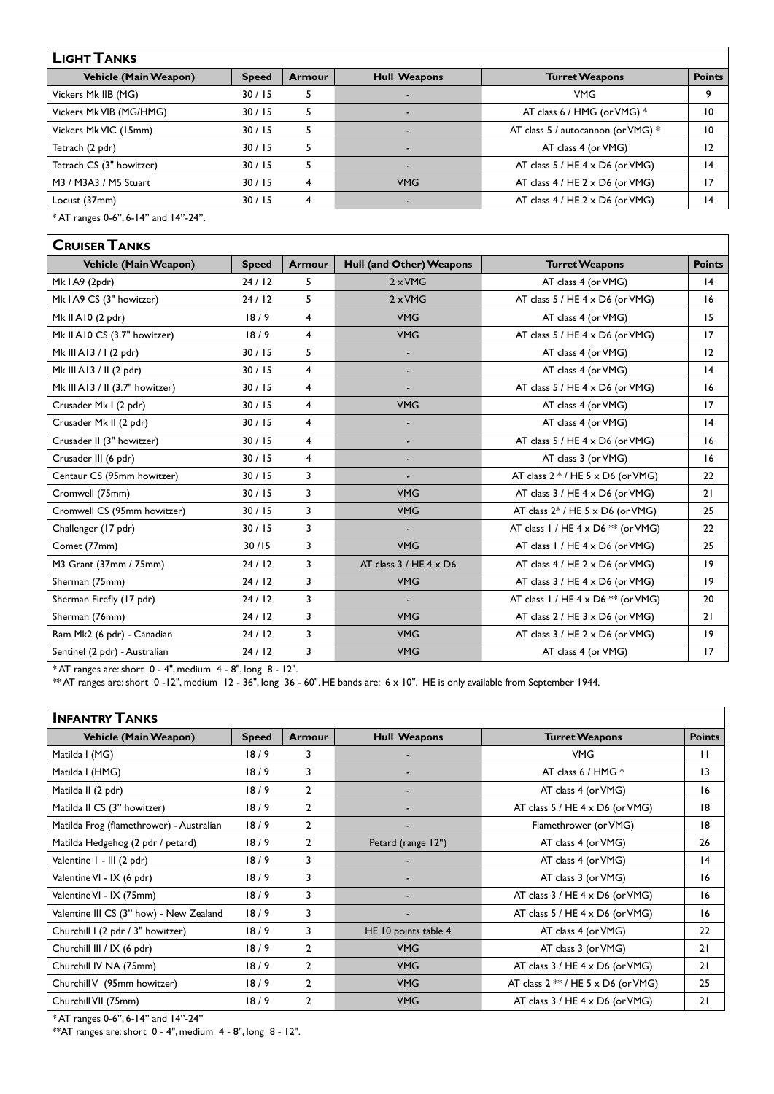## **Light Tanks**

| LIGHT LANKS                  |              |               |                     |                                         |               |
|------------------------------|--------------|---------------|---------------------|-----------------------------------------|---------------|
| <b>Vehicle (Main Weapon)</b> | <b>Speed</b> | <b>Armour</b> | <b>Hull Weapons</b> | <b>Turret Weapons</b>                   | <b>Points</b> |
| Vickers Mk IIB (MG)          | 30/15        |               |                     | <b>VMG</b>                              |               |
| Vickers MkVIB (MG/HMG)       | 30/15        |               |                     | AT class 6 / HMG (or VMG) *             | 10            |
| Vickers MkVIC (15mm)         | 30/15        | 5             |                     | AT class 5 / autocannon (or VMG) *      | 10            |
| Tetrach (2 pdr)              | 30/15        | 5             |                     | AT class 4 (or VMG)                     | 12            |
| Tetrach CS (3" howitzer)     | 30/15        |               |                     | AT class $5 / HE 4 \times D6$ (or VMG)  | 14            |
| M3 / M3A3 / M5 Stuart        | 30/15        | 4             | <b>VMG</b>          | AT class $4/$ HE $2 \times$ D6 (or VMG) |               |
| Locust (37mm)                | 30/15        | 4             |                     | AT class $4/$ HE $2 \times$ D6 (or VMG) | 14            |

٦

 $*AT$  ranges 0-6", 6-14" and 14"-24".

| <b>CRUISER TANKS</b>            |              |                |                               |                                           |               |
|---------------------------------|--------------|----------------|-------------------------------|-------------------------------------------|---------------|
| <b>Vehicle (Main Weapon)</b>    | <b>Speed</b> | <b>Armour</b>  | Hull (and Other) Weapons      | <b>Turret Weapons</b>                     | <b>Points</b> |
| Mk IA9 (2pdr)                   | 24/12        | 5              | $2 \times VMG$                | AT class 4 (or VMG)                       | 4             |
| Mk I A9 CS (3" howitzer)        | 24/12        | 5              | $2 \times VMG$                | AT class $5 / HE 4 \times D6$ (or VMG)    | 16            |
| Mk II A10 (2 pdr)               | 18/9         | $\overline{4}$ | <b>VMG</b>                    | AT class 4 (or VMG)                       | 15            |
| Mk II A10 CS (3.7" howitzer)    | 18/9         | 4              | <b>VMG</b>                    | AT class $5 / HE 4 \times D6$ (or VMG)    | 17            |
| Mk III A13 / I (2 pdr)          | 30/15        | 5              | ٠                             | AT class 4 (or VMG)                       | 12            |
| Mk III A13 / II (2 pdr)         | 30/15        | $\overline{4}$ | ٠                             | AT class 4 (or VMG)                       | 4             |
| Mk III A13 / II (3.7" howitzer) | 30/15        | $\overline{4}$ |                               | AT class $5 / HE 4 \times D6$ (or VMG)    | 16            |
| Crusader Mk I (2 pdr)           | 30/15        | $\overline{4}$ | <b>VMG</b>                    | AT class 4 (or VMG)                       | 17            |
| Crusader Mk II (2 pdr)          | 30/15        | $\overline{4}$ |                               | AT class 4 (or VMG)                       | 4             |
| Crusader II (3" howitzer)       | 30/15        | 4              |                               | AT class $5 / HE 4 \times D6$ (or VMG)    | 16            |
| Crusader III (6 pdr)            | 30/15        | 4              |                               | AT class 3 (or VMG)                       | 16            |
| Centaur CS (95mm howitzer)      | 30/15        | 3              |                               | AT class $2*/$ HE $5 \times$ D6 (or VMG)  | 22            |
| Cromwell (75mm)                 | 30/15        | 3              | <b>VMG</b>                    | AT class $3 / HE 4 \times D6$ (or VMG)    | 21            |
| Cromwell CS (95mm howitzer)     | 30/15        | 3              | <b>VMG</b>                    | AT class $2^*$ / HE 5 x D6 (or VMG)       | 25            |
| Challenger (17 pdr)             | 30/15        | 3              |                               | AT class $1 / HE 4 \times D6$ ** (or VMG) | 22            |
| Comet (77mm)                    | 30/15        | 3              | <b>VMG</b>                    | AT class 1 / HE 4 x D6 (or VMG)           | 25            |
| M3 Grant (37mm / 75mm)          | 24/12        | 3              | AT class $3 / HE 4 \times D6$ | AT class $4 / HE 2 \times D6$ (or VMG)    | 19            |
| Sherman (75mm)                  | 24/12        | 3              | <b>VMG</b>                    | AT class $3 / HE 4 \times D6$ (or VMG)    | $ 9\rangle$   |
| Sherman Firefly (17 pdr)        | 24/12        | 3              |                               | AT class $1 / HE 4 \times D6 ** (or VMG)$ | 20            |
| Sherman (76mm)                  | 24/12        | 3              | <b>VMG</b>                    | AT class $2 / HE 3 \times D6$ (or VMG)    | 21            |
| Ram Mk2 (6 pdr) - Canadian      | 24/12        | 3              | <b>VMG</b>                    | AT class $3 / HE 2 \times D6$ (or VMG)    | $ 9\rangle$   |
| Sentinel (2 pdr) - Australian   | 24/12        | 3              | <b>VMG</b>                    | AT class 4 (or VMG)                       | 17            |

\* AT ranges are: short 0 - 4", medium 4 - 8", long 8 - 12".

\*\* AT ranges are: short 0 -12", medium 12 - 36", long 36 - 60". HE bands are: 6 x 10". HE is only available from September 1944.

| <b>INFANTRY TANKS</b>                    |              |                |                      |                                        |               |
|------------------------------------------|--------------|----------------|----------------------|----------------------------------------|---------------|
| <b>Vehicle (Main Weapon)</b>             | <b>Speed</b> | <b>Armour</b>  | <b>Hull Weapons</b>  | <b>Turret Weapons</b>                  | <b>Points</b> |
| Matilda I (MG)                           | 18/9         | 3              |                      | <b>VMG</b>                             | $\mathbf{H}$  |
| Matilda I (HMG)                          | 18/9         | 3              |                      | AT class 6 / HMG $*$                   | 13            |
| Matilda II (2 pdr)                       | 18/9         | $\overline{2}$ |                      | AT class 4 (or VMG)                    | 16            |
| Matilda II CS (3" howitzer)              | 18/9         | $\overline{2}$ |                      | AT class $5 / HE 4 \times D6$ (or VMG) | 18            |
| Matilda Frog (flamethrower) - Australian | 18/9         | $\overline{2}$ |                      | Flamethrower (or VMG)                  | 18            |
| Matilda Hedgehog (2 pdr / petard)        | 18/9         | $\overline{2}$ | Petard (range 12")   | AT class 4 (or VMG)                    | 26            |
| Valentine I - III (2 pdr)                | 18/9         | 3              |                      | AT class 4 (or VMG)                    | 4             |
| Valentine VI - IX (6 pdr)                | 18/9         | 3              |                      | AT class 3 (or VMG)                    | 16            |
| Valentine VI - IX (75mm)                 | 18/9         | 3              |                      | AT class $3 / HE 4 \times D6$ (or VMG) | 16            |
| Valentine III CS (3" how) - New Zealand  | 18/9         | 3              |                      | AT class $5 / HE 4 \times D6$ (or VMG) | 16            |
| Churchill I (2 pdr / 3" howitzer)        | 18/9         | 3              | HE 10 points table 4 | AT class 4 (or VMG)                    | 22            |
| Churchill III / IX (6 pdr)               | 18/9         | $\overline{2}$ | <b>VMG</b>           | AT class 3 (or VMG)                    | 21            |
| Churchill IV NA (75mm)                   | 18/9         | $\overline{2}$ | <b>VMG</b>           | AT class $3 / HE 4 \times D6$ (or VMG) | 21            |
| Churchill V (95mm howitzer)              | 18/9         | $\overline{2}$ | <b>VMG</b>           | AT class $2**/HE 5 \times D6$ (or VMG) | 25            |
| Churchill VII (75mm)                     | 18/9         | $\mathbf{2}$   | <b>VMG</b>           | AT class $3 / HE 4 \times D6$ (or VMG) | 21            |

\* AT ranges 0-6", 6-14" and 14''-24''

\*\*AT ranges are: short 0 - 4", medium 4 - 8", long 8 - 12".